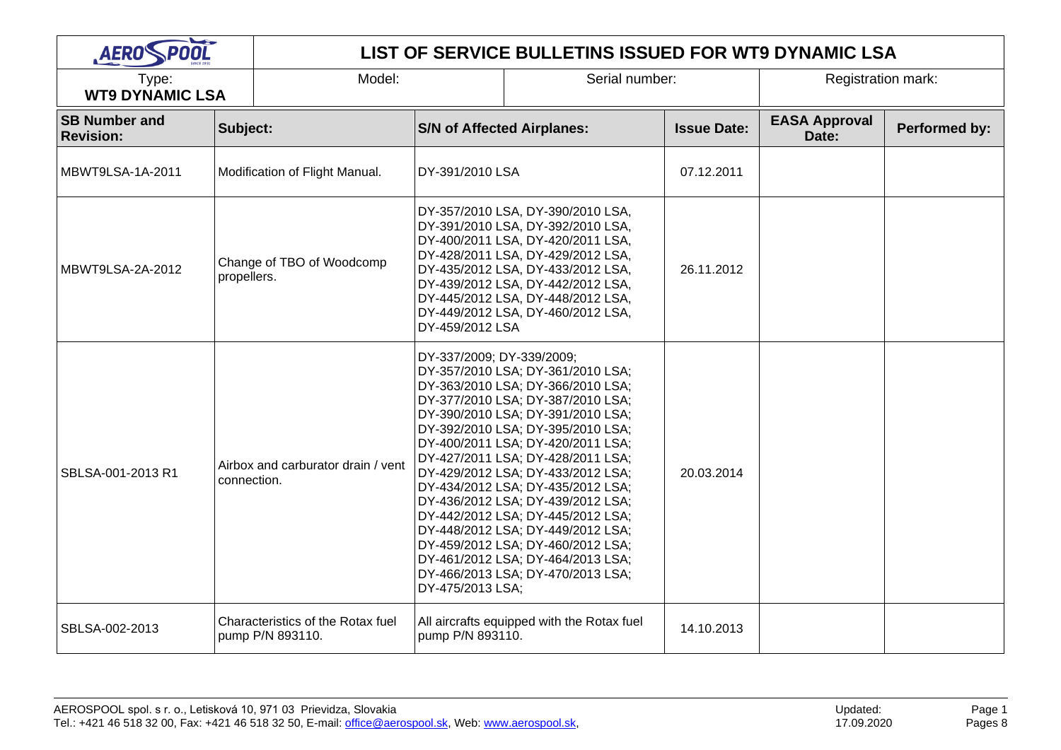| AEROSPOOL                                |             | LIST OF SERVICE BULLETINS ISSUED FOR WT9 DYNAMIC LSA  |                                                                                                                                                                                                                                                                                                                                                                                                                                                                                                                                                                                                                                             |                                                                                                                                                                                                                                                                                                      |                    |                               |               |  |  |
|------------------------------------------|-------------|-------------------------------------------------------|---------------------------------------------------------------------------------------------------------------------------------------------------------------------------------------------------------------------------------------------------------------------------------------------------------------------------------------------------------------------------------------------------------------------------------------------------------------------------------------------------------------------------------------------------------------------------------------------------------------------------------------------|------------------------------------------------------------------------------------------------------------------------------------------------------------------------------------------------------------------------------------------------------------------------------------------------------|--------------------|-------------------------------|---------------|--|--|
| Type:<br><b>WT9 DYNAMIC LSA</b>          |             | Model:                                                |                                                                                                                                                                                                                                                                                                                                                                                                                                                                                                                                                                                                                                             | Serial number:                                                                                                                                                                                                                                                                                       |                    | Registration mark:            |               |  |  |
| <b>SB Number and</b><br><b>Revision:</b> | Subject:    |                                                       | <b>S/N of Affected Airplanes:</b>                                                                                                                                                                                                                                                                                                                                                                                                                                                                                                                                                                                                           |                                                                                                                                                                                                                                                                                                      | <b>Issue Date:</b> | <b>EASA Approval</b><br>Date: | Performed by: |  |  |
| MBWT9LSA-1A-2011                         |             | Modification of Flight Manual.                        | DY-391/2010 LSA                                                                                                                                                                                                                                                                                                                                                                                                                                                                                                                                                                                                                             |                                                                                                                                                                                                                                                                                                      | 07.12.2011         |                               |               |  |  |
| MBWT9LSA-2A-2012                         |             | Change of TBO of Woodcomp<br>propellers.              |                                                                                                                                                                                                                                                                                                                                                                                                                                                                                                                                                                                                                                             | DY-357/2010 LSA, DY-390/2010 LSA,<br>DY-391/2010 LSA, DY-392/2010 LSA,<br>DY-400/2011 LSA, DY-420/2011 LSA,<br>DY-428/2011 LSA, DY-429/2012 LSA,<br>DY-435/2012 LSA, DY-433/2012 LSA,<br>DY-439/2012 LSA, DY-442/2012 LSA,<br>DY-445/2012 LSA, DY-448/2012 LSA,<br>DY-449/2012 LSA, DY-460/2012 LSA, | 26.11.2012         |                               |               |  |  |
| SBLSA-001-2013 R1                        | connection. | Airbox and carburator drain / vent                    | DY-459/2012 LSA<br>DY-337/2009; DY-339/2009;<br>DY-357/2010 LSA; DY-361/2010 LSA;<br>DY-363/2010 LSA; DY-366/2010 LSA;<br>DY-377/2010 LSA; DY-387/2010 LSA;<br>DY-390/2010 LSA; DY-391/2010 LSA;<br>DY-392/2010 LSA; DY-395/2010 LSA;<br>DY-400/2011 LSA; DY-420/2011 LSA;<br>DY-427/2011 LSA; DY-428/2011 LSA;<br>DY-429/2012 LSA; DY-433/2012 LSA;<br>DY-434/2012 LSA; DY-435/2012 LSA;<br>DY-436/2012 LSA; DY-439/2012 LSA;<br>DY-442/2012 LSA; DY-445/2012 LSA;<br>DY-448/2012 LSA; DY-449/2012 LSA;<br>DY-459/2012 LSA; DY-460/2012 LSA;<br>DY-461/2012 LSA; DY-464/2013 LSA;<br>DY-466/2013 LSA; DY-470/2013 LSA;<br>DY-475/2013 LSA; |                                                                                                                                                                                                                                                                                                      | 20.03.2014         |                               |               |  |  |
| SBLSA-002-2013                           |             | Characteristics of the Rotax fuel<br>pump P/N 893110. | pump P/N 893110.                                                                                                                                                                                                                                                                                                                                                                                                                                                                                                                                                                                                                            | All aircrafts equipped with the Rotax fuel                                                                                                                                                                                                                                                           | 14.10.2013         |                               |               |  |  |

T

-

Page 1 Pages 8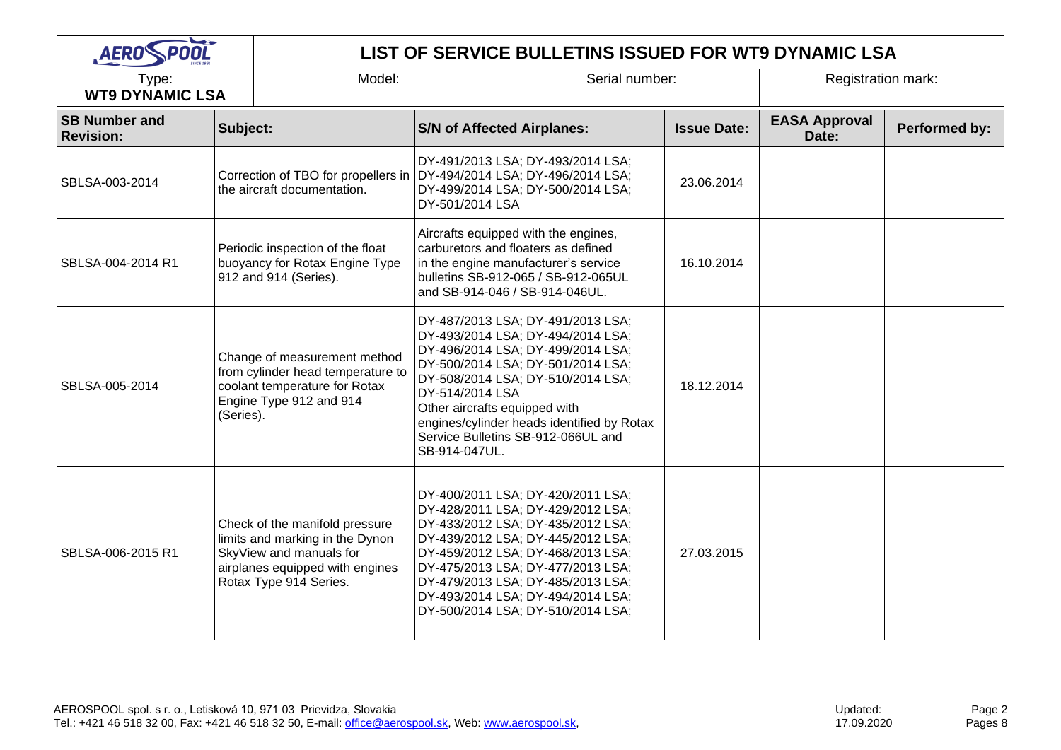| AEROSPOOL                                |                                                                                             | LIST OF SERVICE BULLETINS ISSUED FOR WT9 DYNAMIC LSA                                                                                                      |                                                                                                                                                                                                                                                                                                                                                |                |                    |                               |               |  |  |
|------------------------------------------|---------------------------------------------------------------------------------------------|-----------------------------------------------------------------------------------------------------------------------------------------------------------|------------------------------------------------------------------------------------------------------------------------------------------------------------------------------------------------------------------------------------------------------------------------------------------------------------------------------------------------|----------------|--------------------|-------------------------------|---------------|--|--|
| Type:<br><b>WT9 DYNAMIC LSA</b>          |                                                                                             | Model:                                                                                                                                                    |                                                                                                                                                                                                                                                                                                                                                | Serial number: |                    | <b>Registration mark:</b>     |               |  |  |
| <b>SB Number and</b><br><b>Revision:</b> | Subject:                                                                                    |                                                                                                                                                           | <b>S/N of Affected Airplanes:</b>                                                                                                                                                                                                                                                                                                              |                | <b>Issue Date:</b> | <b>EASA Approval</b><br>Date: | Performed by: |  |  |
| SBLSA-003-2014                           | Correction of TBO for propellers in<br>the aircraft documentation.                          |                                                                                                                                                           | DY-491/2013 LSA; DY-493/2014 LSA;<br>DY-494/2014 LSA; DY-496/2014 LSA;<br>DY-499/2014 LSA; DY-500/2014 LSA;<br>DY-501/2014 LSA                                                                                                                                                                                                                 |                | 23.06.2014         |                               |               |  |  |
| SBLSA-004-2014 R1                        | Periodic inspection of the float<br>buoyancy for Rotax Engine Type<br>912 and 914 (Series). |                                                                                                                                                           | Aircrafts equipped with the engines,<br>carburetors and floaters as defined<br>in the engine manufacturer's service<br>bulletins SB-912-065 / SB-912-065UL<br>and SB-914-046 / SB-914-046UL.                                                                                                                                                   |                | 16.10.2014         |                               |               |  |  |
| SBLSA-005-2014                           | (Series).                                                                                   | Change of measurement method<br>from cylinder head temperature to<br>coolant temperature for Rotax<br>Engine Type 912 and 914                             | DY-487/2013 LSA; DY-491/2013 LSA;<br>DY-493/2014 LSA; DY-494/2014 LSA;<br>DY-496/2014 LSA; DY-499/2014 LSA;<br>DY-500/2014 LSA; DY-501/2014 LSA;<br>DY-508/2014 LSA; DY-510/2014 LSA;<br>DY-514/2014 LSA<br>Other aircrafts equipped with<br>engines/cylinder heads identified by Rotax<br>Service Bulletins SB-912-066UL and<br>SB-914-047UL. |                | 18.12.2014         |                               |               |  |  |
| SBLSA-006-2015 R1                        |                                                                                             | Check of the manifold pressure<br>limits and marking in the Dynon<br>SkyView and manuals for<br>airplanes equipped with engines<br>Rotax Type 914 Series. | DY-400/2011 LSA; DY-420/2011 LSA;<br>DY-428/2011 LSA; DY-429/2012 LSA;<br>DY-433/2012 LSA; DY-435/2012 LSA;<br>DY-439/2012 LSA; DY-445/2012 LSA;<br>DY-459/2012 LSA; DY-468/2013 LSA;<br>DY-475/2013 LSA; DY-477/2013 LSA;<br>DY-479/2013 LSA; DY-485/2013 LSA;<br>DY-493/2014 LSA; DY-494/2014 LSA;<br>DY-500/2014 LSA; DY-510/2014 LSA;      |                | 27.03.2015         |                               |               |  |  |

 $\overline{\phantom{a}}$ 

Page 2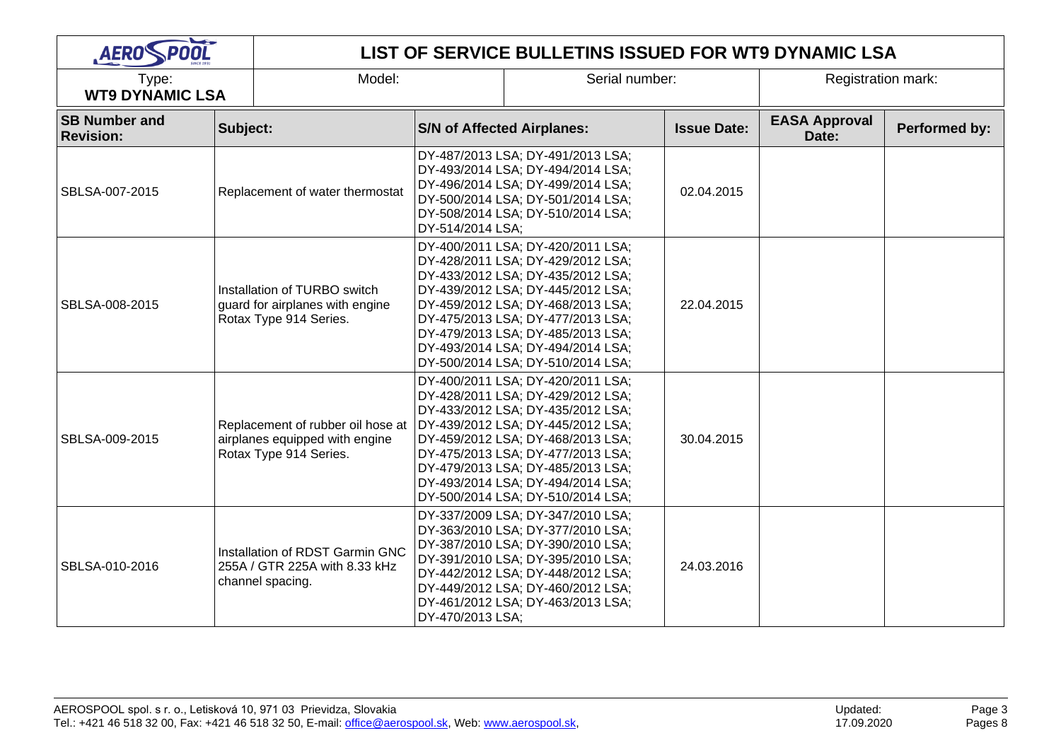| AEROSPOOL                                |          | LIST OF SERVICE BULLETINS ISSUED FOR WT9 DYNAMIC LSA                                          |                                                                                                                                                                                                                                                                                                                                           |                                                                                                                                                                                                                                                                                                                                           |                    |                               |               |  |
|------------------------------------------|----------|-----------------------------------------------------------------------------------------------|-------------------------------------------------------------------------------------------------------------------------------------------------------------------------------------------------------------------------------------------------------------------------------------------------------------------------------------------|-------------------------------------------------------------------------------------------------------------------------------------------------------------------------------------------------------------------------------------------------------------------------------------------------------------------------------------------|--------------------|-------------------------------|---------------|--|
| Type:<br><b>WT9 DYNAMIC LSA</b>          |          | Model:                                                                                        |                                                                                                                                                                                                                                                                                                                                           | Serial number:                                                                                                                                                                                                                                                                                                                            |                    | <b>Registration mark:</b>     |               |  |
| <b>SB Number and</b><br><b>Revision:</b> | Subject: |                                                                                               | <b>S/N of Affected Airplanes:</b>                                                                                                                                                                                                                                                                                                         |                                                                                                                                                                                                                                                                                                                                           | <b>Issue Date:</b> | <b>EASA Approval</b><br>Date: | Performed by: |  |
| SBLSA-007-2015                           |          | Replacement of water thermostat                                                               | DY-514/2014 LSA;                                                                                                                                                                                                                                                                                                                          | DY-487/2013 LSA; DY-491/2013 LSA;<br>DY-493/2014 LSA; DY-494/2014 LSA;<br>DY-496/2014 LSA; DY-499/2014 LSA;<br>DY-500/2014 LSA; DY-501/2014 LSA;<br>DY-508/2014 LSA; DY-510/2014 LSA;                                                                                                                                                     | 02.04.2015         |                               |               |  |
| SBLSA-008-2015                           |          | Installation of TURBO switch<br>guard for airplanes with engine<br>Rotax Type 914 Series.     | DY-400/2011 LSA; DY-420/2011 LSA;<br>DY-428/2011 LSA; DY-429/2012 LSA;<br>DY-433/2012 LSA; DY-435/2012 LSA;<br>DY-439/2012 LSA; DY-445/2012 LSA;<br>DY-459/2012 LSA; DY-468/2013 LSA;<br>DY-475/2013 LSA; DY-477/2013 LSA;<br>DY-479/2013 LSA; DY-485/2013 LSA;<br>DY-493/2014 LSA; DY-494/2014 LSA;<br>DY-500/2014 LSA; DY-510/2014 LSA; |                                                                                                                                                                                                                                                                                                                                           | 22.04.2015         |                               |               |  |
| SBLSA-009-2015                           |          | Replacement of rubber oil hose at<br>airplanes equipped with engine<br>Rotax Type 914 Series. |                                                                                                                                                                                                                                                                                                                                           | DY-400/2011 LSA; DY-420/2011 LSA;<br>DY-428/2011 LSA; DY-429/2012 LSA;<br>DY-433/2012 LSA; DY-435/2012 LSA;<br>DY-439/2012 LSA; DY-445/2012 LSA;<br>DY-459/2012 LSA; DY-468/2013 LSA;<br>DY-475/2013 LSA; DY-477/2013 LSA;<br>DY-479/2013 LSA; DY-485/2013 LSA;<br>DY-493/2014 LSA; DY-494/2014 LSA;<br>DY-500/2014 LSA; DY-510/2014 LSA; | 30.04.2015         |                               |               |  |
| SBLSA-010-2016                           |          | Installation of RDST Garmin GNC<br>255A / GTR 225A with 8.33 kHz<br>channel spacing.          | DY-470/2013 LSA;                                                                                                                                                                                                                                                                                                                          | DY-337/2009 LSA; DY-347/2010 LSA;<br>DY-363/2010 LSA; DY-377/2010 LSA;<br>DY-387/2010 LSA; DY-390/2010 LSA;<br>DY-391/2010 LSA; DY-395/2010 LSA;<br>DY-442/2012 LSA; DY-448/2012 LSA;<br>DY-449/2012 LSA; DY-460/2012 LSA;<br>DY-461/2012 LSA; DY-463/2013 LSA;                                                                           | 24.03.2016         |                               |               |  |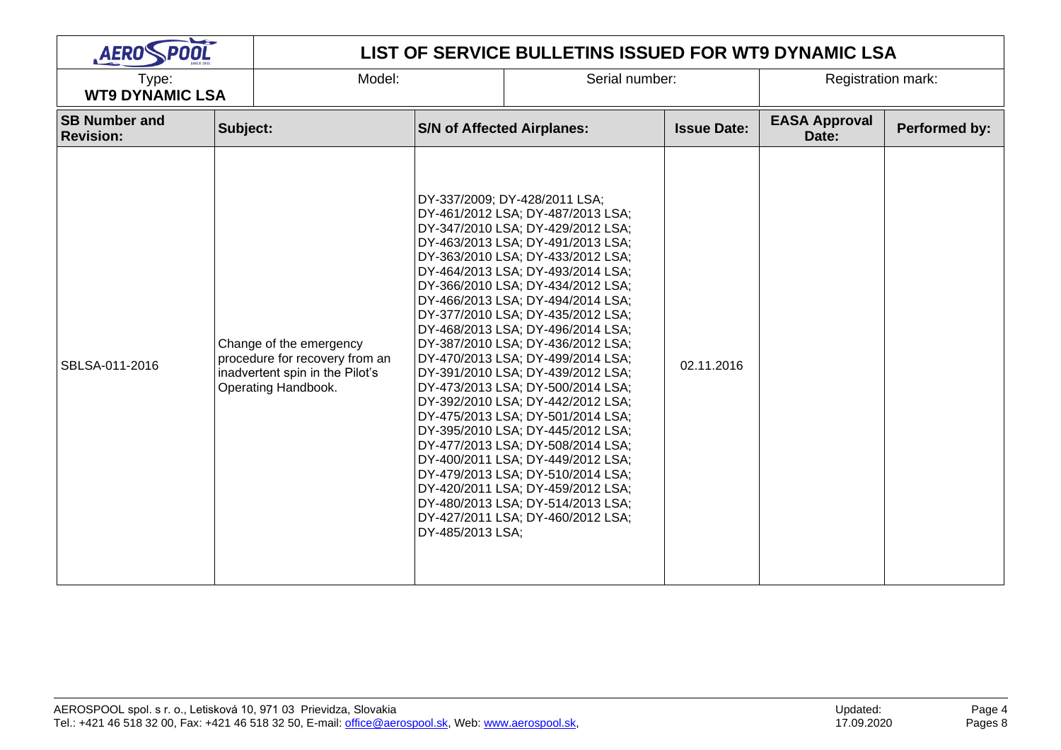| AEROSPOOL                                |          |                                                                                                                     | LIST OF SERVICE BULLETINS ISSUED FOR WT9 DYNAMIC LSA |                                                                                                                                                                                                                                                                                                                                                                                                                                                                                                                                                                                                                                                                                                                                                                                                                                                                             |                    |                               |               |  |  |  |
|------------------------------------------|----------|---------------------------------------------------------------------------------------------------------------------|------------------------------------------------------|-----------------------------------------------------------------------------------------------------------------------------------------------------------------------------------------------------------------------------------------------------------------------------------------------------------------------------------------------------------------------------------------------------------------------------------------------------------------------------------------------------------------------------------------------------------------------------------------------------------------------------------------------------------------------------------------------------------------------------------------------------------------------------------------------------------------------------------------------------------------------------|--------------------|-------------------------------|---------------|--|--|--|
| Type:<br><b>WT9 DYNAMIC LSA</b>          |          | Model:                                                                                                              |                                                      | Serial number:                                                                                                                                                                                                                                                                                                                                                                                                                                                                                                                                                                                                                                                                                                                                                                                                                                                              |                    | <b>Registration mark:</b>     |               |  |  |  |
| <b>SB Number and</b><br><b>Revision:</b> | Subject: |                                                                                                                     | <b>S/N of Affected Airplanes:</b>                    |                                                                                                                                                                                                                                                                                                                                                                                                                                                                                                                                                                                                                                                                                                                                                                                                                                                                             | <b>Issue Date:</b> | <b>EASA Approval</b><br>Date: | Performed by: |  |  |  |
| SBLSA-011-2016                           |          | Change of the emergency<br>procedure for recovery from an<br>inadvertent spin in the Pilot's<br>Operating Handbook. | DY-485/2013 LSA;                                     | DY-337/2009; DY-428/2011 LSA;<br>DY-461/2012 LSA; DY-487/2013 LSA;<br>DY-347/2010 LSA; DY-429/2012 LSA;<br>DY-463/2013 LSA; DY-491/2013 LSA;<br>DY-363/2010 LSA; DY-433/2012 LSA;<br>DY-464/2013 LSA; DY-493/2014 LSA;<br>DY-366/2010 LSA; DY-434/2012 LSA;<br>DY-466/2013 LSA; DY-494/2014 LSA;<br>DY-377/2010 LSA; DY-435/2012 LSA;<br>DY-468/2013 LSA; DY-496/2014 LSA;<br>DY-387/2010 LSA; DY-436/2012 LSA;<br>DY-470/2013 LSA; DY-499/2014 LSA;<br>DY-391/2010 LSA; DY-439/2012 LSA;<br>DY-473/2013 LSA; DY-500/2014 LSA;<br>DY-392/2010 LSA; DY-442/2012 LSA;<br>DY-475/2013 LSA; DY-501/2014 LSA;<br>DY-395/2010 LSA; DY-445/2012 LSA;<br>DY-477/2013 LSA; DY-508/2014 LSA;<br>DY-400/2011 LSA; DY-449/2012 LSA;<br>DY-479/2013 LSA; DY-510/2014 LSA;<br>DY-420/2011 LSA; DY-459/2012 LSA;<br>DY-480/2013 LSA; DY-514/2013 LSA;<br>DY-427/2011 LSA; DY-460/2012 LSA; | 02.11.2016         |                               |               |  |  |  |

 $\overline{\phantom{a}}$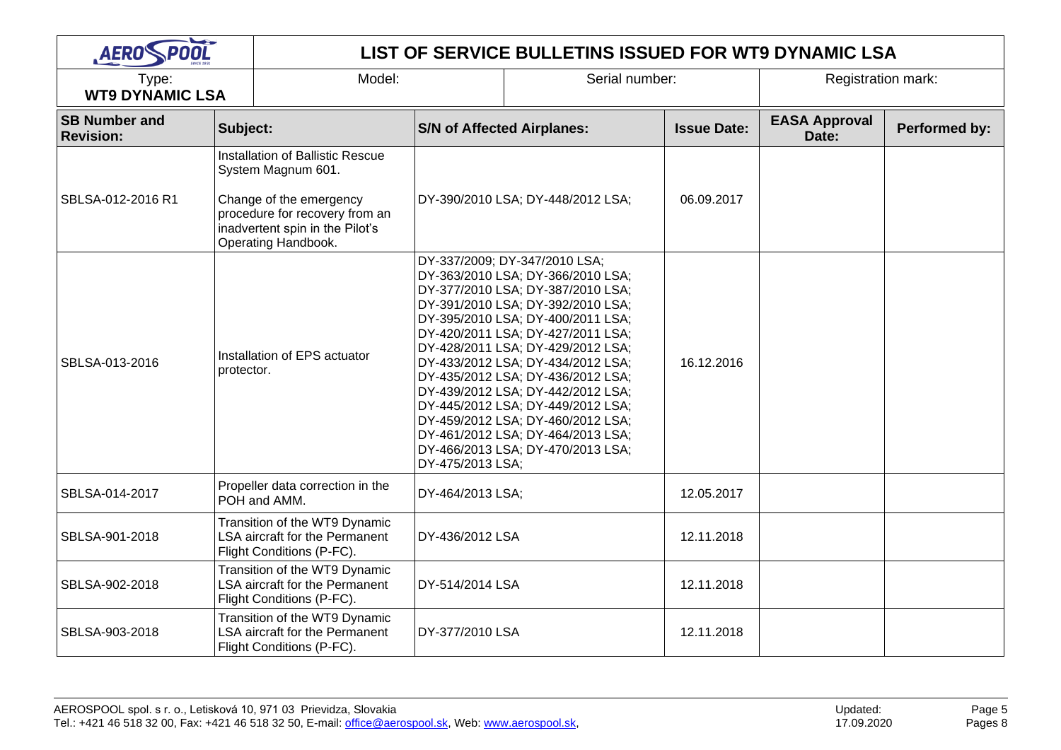| <b>AERO POOL</b>                         |            | LIST OF SERVICE BULLETINS ISSUED FOR WT9 DYNAMIC LSA                                                                                                                          |                                                                                                                                                                                                                                                                                                                                                                                                                                                                                                                                                    |                |                    |                               |               |  |  |
|------------------------------------------|------------|-------------------------------------------------------------------------------------------------------------------------------------------------------------------------------|----------------------------------------------------------------------------------------------------------------------------------------------------------------------------------------------------------------------------------------------------------------------------------------------------------------------------------------------------------------------------------------------------------------------------------------------------------------------------------------------------------------------------------------------------|----------------|--------------------|-------------------------------|---------------|--|--|
| Type:<br><b>WT9 DYNAMIC LSA</b>          |            | Model:                                                                                                                                                                        |                                                                                                                                                                                                                                                                                                                                                                                                                                                                                                                                                    | Serial number: |                    | <b>Registration mark:</b>     |               |  |  |
| <b>SB Number and</b><br><b>Revision:</b> | Subject:   |                                                                                                                                                                               | <b>S/N of Affected Airplanes:</b>                                                                                                                                                                                                                                                                                                                                                                                                                                                                                                                  |                | <b>Issue Date:</b> | <b>EASA Approval</b><br>Date: | Performed by: |  |  |
| SBLSA-012-2016 R1                        |            | Installation of Ballistic Rescue<br>System Magnum 601.<br>Change of the emergency<br>procedure for recovery from an<br>inadvertent spin in the Pilot's<br>Operating Handbook. | DY-390/2010 LSA; DY-448/2012 LSA;                                                                                                                                                                                                                                                                                                                                                                                                                                                                                                                  |                | 06.09.2017         |                               |               |  |  |
| SBLSA-013-2016                           | protector. | Installation of EPS actuator                                                                                                                                                  | DY-337/2009; DY-347/2010 LSA;<br>DY-363/2010 LSA; DY-366/2010 LSA;<br>DY-377/2010 LSA; DY-387/2010 LSA;<br>DY-391/2010 LSA; DY-392/2010 LSA;<br>DY-395/2010 LSA; DY-400/2011 LSA;<br>DY-420/2011 LSA; DY-427/2011 LSA;<br>DY-428/2011 LSA; DY-429/2012 LSA;<br>DY-433/2012 LSA; DY-434/2012 LSA;<br>DY-435/2012 LSA; DY-436/2012 LSA;<br>DY-439/2012 LSA; DY-442/2012 LSA;<br>DY-445/2012 LSA; DY-449/2012 LSA;<br>DY-459/2012 LSA; DY-460/2012 LSA;<br>DY-461/2012 LSA; DY-464/2013 LSA;<br>DY-466/2013 LSA; DY-470/2013 LSA;<br>DY-475/2013 LSA; |                | 16.12.2016         |                               |               |  |  |
| SBLSA-014-2017                           |            | Propeller data correction in the<br>POH and AMM.                                                                                                                              | DY-464/2013 LSA;                                                                                                                                                                                                                                                                                                                                                                                                                                                                                                                                   |                | 12.05.2017         |                               |               |  |  |
| SBLSA-901-2018                           |            | Transition of the WT9 Dynamic<br><b>LSA aircraft for the Permanent</b><br>Flight Conditions (P-FC).                                                                           | DY-436/2012 LSA                                                                                                                                                                                                                                                                                                                                                                                                                                                                                                                                    |                | 12.11.2018         |                               |               |  |  |
| SBLSA-902-2018                           |            | Transition of the WT9 Dynamic<br><b>LSA aircraft for the Permanent</b><br>Flight Conditions (P-FC).                                                                           | DY-514/2014 LSA                                                                                                                                                                                                                                                                                                                                                                                                                                                                                                                                    |                | 12.11.2018         |                               |               |  |  |
| SBLSA-903-2018                           |            | Transition of the WT9 Dynamic<br><b>LSA aircraft for the Permanent</b><br>Flight Conditions (P-FC).                                                                           | DY-377/2010 LSA                                                                                                                                                                                                                                                                                                                                                                                                                                                                                                                                    |                | 12.11.2018         |                               |               |  |  |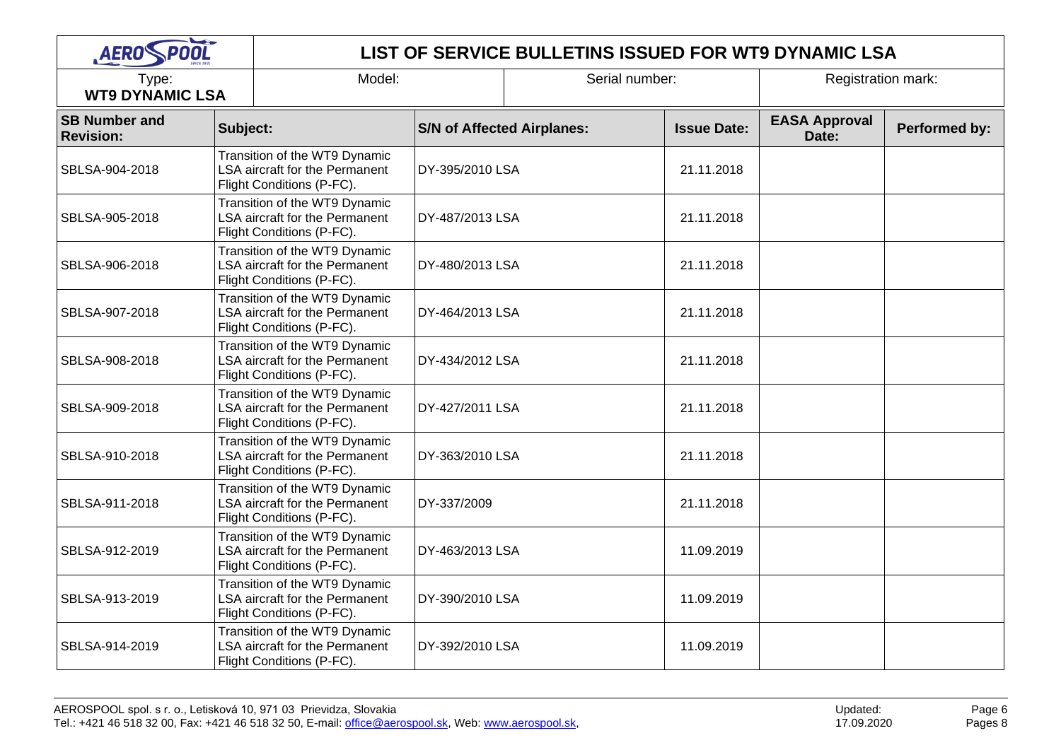| <b>AERO POOL</b>                         |                                                                                              | LIST OF SERVICE BULLETINS ISSUED FOR WT9 DYNAMIC LSA                                                |                 |                                   |            |                               |               |  |
|------------------------------------------|----------------------------------------------------------------------------------------------|-----------------------------------------------------------------------------------------------------|-----------------|-----------------------------------|------------|-------------------------------|---------------|--|
| Type:<br><b>WT9 DYNAMIC LSA</b>          |                                                                                              | Model:                                                                                              |                 | Serial number:                    |            | Registration mark:            |               |  |
| <b>SB Number and</b><br><b>Revision:</b> | Subject:                                                                                     |                                                                                                     |                 | <b>S/N of Affected Airplanes:</b> |            | <b>EASA Approval</b><br>Date: | Performed by: |  |
| SBLSA-904-2018                           |                                                                                              | Transition of the WT9 Dynamic<br>LSA aircraft for the Permanent<br>Flight Conditions (P-FC).        | DY-395/2010 LSA |                                   | 21.11.2018 |                               |               |  |
| SBLSA-905-2018                           | Transition of the WT9 Dynamic<br>LSA aircraft for the Permanent<br>Flight Conditions (P-FC). |                                                                                                     | DY-487/2013 LSA |                                   | 21.11.2018 |                               |               |  |
| SBLSA-906-2018                           | Transition of the WT9 Dynamic<br>LSA aircraft for the Permanent<br>Flight Conditions (P-FC). |                                                                                                     | DY-480/2013 LSA |                                   | 21.11.2018 |                               |               |  |
| SBLSA-907-2018                           |                                                                                              | Transition of the WT9 Dynamic<br>LSA aircraft for the Permanent<br>Flight Conditions (P-FC).        | DY-464/2013 LSA |                                   | 21.11.2018 |                               |               |  |
| SBLSA-908-2018                           |                                                                                              | Transition of the WT9 Dynamic<br>LSA aircraft for the Permanent<br>Flight Conditions (P-FC).        | DY-434/2012 LSA |                                   | 21.11.2018 |                               |               |  |
| SBLSA-909-2018                           |                                                                                              | Transition of the WT9 Dynamic<br>LSA aircraft for the Permanent<br>Flight Conditions (P-FC).        | DY-427/2011 LSA |                                   | 21.11.2018 |                               |               |  |
| SBLSA-910-2018                           |                                                                                              | Transition of the WT9 Dynamic<br>LSA aircraft for the Permanent<br>Flight Conditions (P-FC).        | DY-363/2010 LSA |                                   | 21.11.2018 |                               |               |  |
| SBLSA-911-2018                           |                                                                                              | Transition of the WT9 Dynamic<br>LSA aircraft for the Permanent<br>Flight Conditions (P-FC).        | DY-337/2009     |                                   | 21.11.2018 |                               |               |  |
| SBLSA-912-2019                           |                                                                                              | Transition of the WT9 Dynamic<br>LSA aircraft for the Permanent<br>Flight Conditions (P-FC).        | DY-463/2013 LSA |                                   | 11.09.2019 |                               |               |  |
| SBLSA-913-2019                           |                                                                                              | Transition of the WT9 Dynamic<br>LSA aircraft for the Permanent<br>Flight Conditions (P-FC).        | DY-390/2010 LSA |                                   | 11.09.2019 |                               |               |  |
| SBLSA-914-2019                           |                                                                                              | Transition of the WT9 Dynamic<br><b>LSA aircraft for the Permanent</b><br>Flight Conditions (P-FC). | DY-392/2010 LSA |                                   | 11.09.2019 |                               |               |  |

Page 6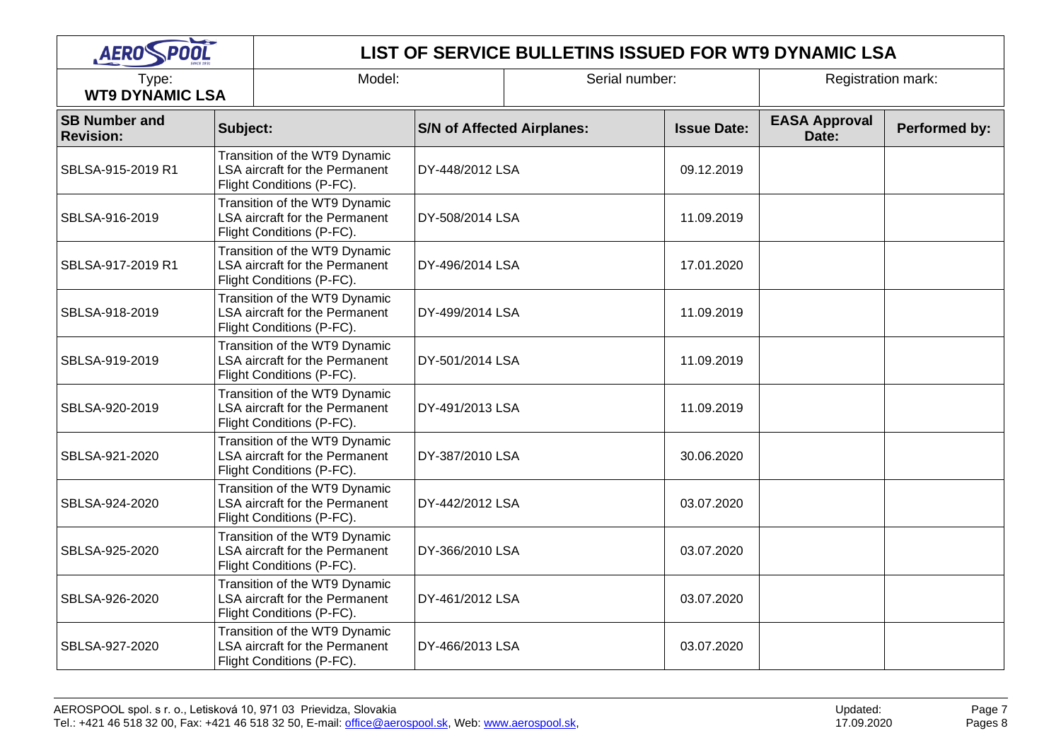| <b>AERO POOL</b>                         |                                                                                              | LIST OF SERVICE BULLETINS ISSUED FOR WT9 DYNAMIC LSA                                                |                 |                                   |            |                               |               |  |  |
|------------------------------------------|----------------------------------------------------------------------------------------------|-----------------------------------------------------------------------------------------------------|-----------------|-----------------------------------|------------|-------------------------------|---------------|--|--|
| Type:<br><b>WT9 DYNAMIC LSA</b>          |                                                                                              | Model:                                                                                              |                 | Serial number:                    |            | Registration mark:            |               |  |  |
| <b>SB Number and</b><br><b>Revision:</b> | Subject:                                                                                     |                                                                                                     |                 | <b>S/N of Affected Airplanes:</b> |            | <b>EASA Approval</b><br>Date: | Performed by: |  |  |
| SBLSA-915-2019 R1                        |                                                                                              | Transition of the WT9 Dynamic<br>LSA aircraft for the Permanent<br>Flight Conditions (P-FC).        | DY-448/2012 LSA |                                   | 09.12.2019 |                               |               |  |  |
| SBLSA-916-2019                           |                                                                                              | Transition of the WT9 Dynamic<br>LSA aircraft for the Permanent<br>Flight Conditions (P-FC).        | DY-508/2014 LSA |                                   | 11.09.2019 |                               |               |  |  |
| SBLSA-917-2019 R1                        | Transition of the WT9 Dynamic<br>LSA aircraft for the Permanent<br>Flight Conditions (P-FC). |                                                                                                     | DY-496/2014 LSA |                                   | 17.01.2020 |                               |               |  |  |
| SBLSA-918-2019                           |                                                                                              | Transition of the WT9 Dynamic<br>LSA aircraft for the Permanent<br>Flight Conditions (P-FC).        | DY-499/2014 LSA |                                   | 11.09.2019 |                               |               |  |  |
| SBLSA-919-2019                           |                                                                                              | Transition of the WT9 Dynamic<br><b>LSA aircraft for the Permanent</b><br>Flight Conditions (P-FC). | DY-501/2014 LSA |                                   | 11.09.2019 |                               |               |  |  |
| SBLSA-920-2019                           |                                                                                              | Transition of the WT9 Dynamic<br>LSA aircraft for the Permanent<br>Flight Conditions (P-FC).        | DY-491/2013 LSA |                                   | 11.09.2019 |                               |               |  |  |
| SBLSA-921-2020                           |                                                                                              | Transition of the WT9 Dynamic<br>LSA aircraft for the Permanent<br>Flight Conditions (P-FC).        | DY-387/2010 LSA |                                   | 30.06.2020 |                               |               |  |  |
| SBLSA-924-2020                           |                                                                                              | Transition of the WT9 Dynamic<br>LSA aircraft for the Permanent<br>Flight Conditions (P-FC).        | DY-442/2012 LSA |                                   | 03.07.2020 |                               |               |  |  |
| SBLSA-925-2020                           |                                                                                              | Transition of the WT9 Dynamic<br>LSA aircraft for the Permanent<br>Flight Conditions (P-FC).        | DY-366/2010 LSA |                                   | 03.07.2020 |                               |               |  |  |
| SBLSA-926-2020                           |                                                                                              | Transition of the WT9 Dynamic<br>LSA aircraft for the Permanent<br>Flight Conditions (P-FC).        | DY-461/2012 LSA |                                   | 03.07.2020 |                               |               |  |  |
| SBLSA-927-2020                           |                                                                                              | Transition of the WT9 Dynamic<br><b>LSA aircraft for the Permanent</b><br>Flight Conditions (P-FC). | DY-466/2013 LSA |                                   | 03.07.2020 |                               |               |  |  |

Page 7